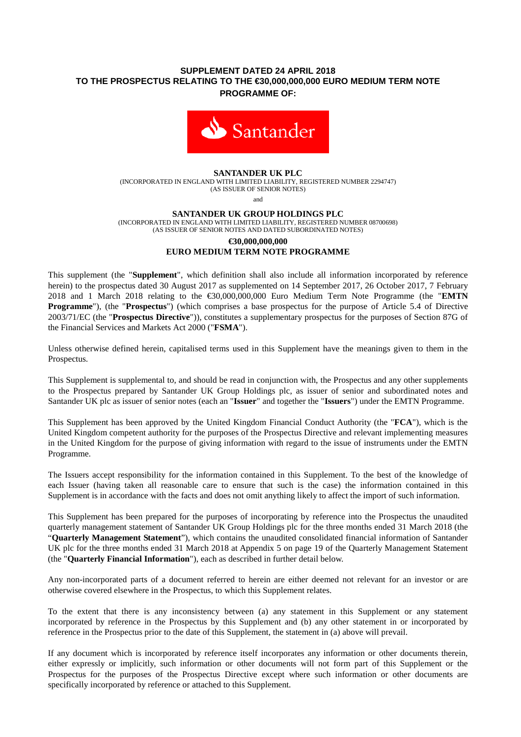# **SUPPLEMENT DATED 24 APRIL 2018 TO THE PROSPECTUS RELATING TO THE €30,000,000,000 EURO MEDIUM TERM NOTE PROGRAMME OF:**



## **SANTANDER UK PLC**

(INCORPORATED IN ENGLAND WITH LIMITED LIABILITY, REGISTERED NUMBER 2294747) (AS ISSUER OF SENIOR NOTES)

and

#### **SANTANDER UK GROUP HOLDINGS PLC**

(INCORPORATED IN ENGLAND WITH LIMITED LIABILITY, REGISTERED NUMBER 08700698) (AS ISSUER OF SENIOR NOTES AND DATED SUBORDINATED NOTES)

#### **€30,000,000,000 EURO MEDIUM TERM NOTE PROGRAMME**

This supplement (the "**Supplement**", which definition shall also include all information incorporated by reference herein) to the prospectus dated 30 August 2017 as supplemented on 14 September 2017, 26 October 2017, 7 February 2018 and 1 March 2018 relating to the €30,000,000,000 Euro Medium Term Note Programme (the "**EMTN Programme**"), (the "**Prospectus**") (which comprises a base prospectus for the purpose of Article 5.4 of Directive 2003/71/EC (the "**Prospectus Directive**")), constitutes a supplementary prospectus for the purposes of Section 87G of the Financial Services and Markets Act 2000 ("**FSMA**").

Unless otherwise defined herein, capitalised terms used in this Supplement have the meanings given to them in the Prospectus.

This Supplement is supplemental to, and should be read in conjunction with, the Prospectus and any other supplements to the Prospectus prepared by Santander UK Group Holdings plc, as issuer of senior and subordinated notes and Santander UK plc as issuer of senior notes (each an "**Issuer**" and together the "**Issuers**") under the EMTN Programme.

This Supplement has been approved by the United Kingdom Financial Conduct Authority (the "**FCA**"), which is the United Kingdom competent authority for the purposes of the Prospectus Directive and relevant implementing measures in the United Kingdom for the purpose of giving information with regard to the issue of instruments under the EMTN Programme.

The Issuers accept responsibility for the information contained in this Supplement. To the best of the knowledge of each Issuer (having taken all reasonable care to ensure that such is the case) the information contained in this Supplement is in accordance with the facts and does not omit anything likely to affect the import of such information.

This Supplement has been prepared for the purposes of incorporating by reference into the Prospectus the unaudited quarterly management statement of Santander UK Group Holdings plc for the three months ended 31 March 2018 (the "**Quarterly Management Statement**"), which contains the unaudited consolidated financial information of Santander UK plc for the three months ended 31 March 2018 at Appendix 5 on page 19 of the Quarterly Management Statement (the "**Quarterly Financial Information**"), each as described in further detail below.

Any non-incorporated parts of a document referred to herein are either deemed not relevant for an investor or are otherwise covered elsewhere in the Prospectus, to which this Supplement relates.

To the extent that there is any inconsistency between (a) any statement in this Supplement or any statement incorporated by reference in the Prospectus by this Supplement and (b) any other statement in or incorporated by reference in the Prospectus prior to the date of this Supplement, the statement in (a) above will prevail.

If any document which is incorporated by reference itself incorporates any information or other documents therein, either expressly or implicitly, such information or other documents will not form part of this Supplement or the Prospectus for the purposes of the Prospectus Directive except where such information or other documents are specifically incorporated by reference or attached to this Supplement.